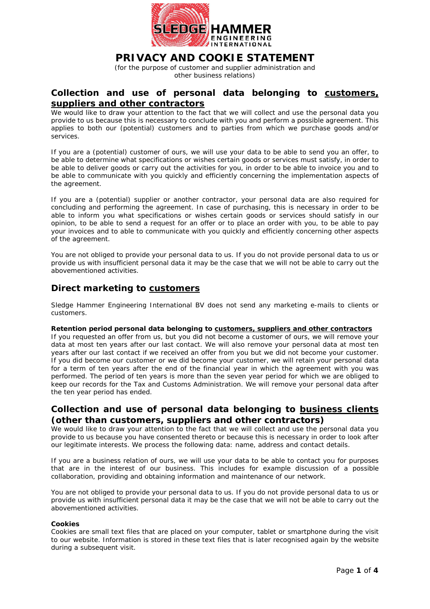

# **PRIVACY AND COOKIE STATEMENT**

(for the purpose of customer and supplier administration and other business relations)

# **Collection and use of personal data belonging to customers, suppliers and other contractors**

We would like to draw your attention to the fact that we will collect and use the personal data you provide to us because this is necessary to conclude with you and perform a possible agreement. This applies to both our (potential) customers and to parties from which we purchase goods and/or services.

If you are a (potential) customer of ours, we will use your data to be able to send you an offer, to be able to determine what specifications or wishes certain goods or services must satisfy, in order to be able to deliver goods or carry out the activities for you, in order to be able to invoice you and to be able to communicate with you quickly and efficiently concerning the implementation aspects of the agreement.

If you are a (potential) supplier or another contractor, your personal data are also required for concluding and performing the agreement. In case of purchasing, this is necessary in order to be able to inform you what specifications or wishes certain goods or services should satisfy in our opinion, to be able to send a request for an offer or to place an order with you, to be able to pay your invoices and to able to communicate with you quickly and efficiently concerning other aspects of the agreement.

You are not obliged to provide your personal data to us. If you do not provide personal data to us or provide us with insufficient personal data it may be the case that we will not be able to carry out the abovementioned activities.

# **Direct marketing to customers**

Sledge Hammer Engineering International BV does not send any marketing e-mails to clients or customers.

#### **Retention period personal data belonging to customers, suppliers and other contractors**

If you requested an offer from us, but you did not become a customer of ours, we will remove your data at most ten years after our last contact. We will also remove your personal data at most ten years after our last contact if we received an offer from you but we did not become your customer. If you did become our customer or we did become your customer, we will retain your personal data for a term of ten years after the end of the financial year in which the agreement with you was performed. The period of ten years is more than the seven year period for which we are obliged to keep our records for the Tax and Customs Administration. We will remove your personal data after the ten year period has ended.

# **Collection and use of personal data belonging to business clients (other than customers, suppliers and other contractors)**

We would like to draw your attention to the fact that we will collect and use the personal data you provide to us because you have consented thereto or because this is necessary in order to look after our legitimate interests. We process the following data: name, address and contact details.

If you are a business relation of ours, we will use your data to be able to contact you for purposes that are in the interest of our business. This includes for example discussion of a possible collaboration, providing and obtaining information and maintenance of our network.

You are not obliged to provide your personal data to us. If you do not provide personal data to us or provide us with insufficient personal data it may be the case that we will not be able to carry out the abovementioned activities.

### **Cookies**

Cookies are small text files that are placed on your computer, tablet or smartphone during the visit to our website. Information is stored in these text files that is later recognised again by the website during a subsequent visit.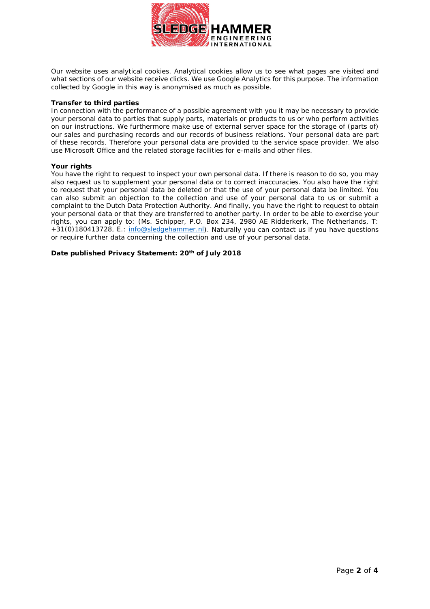

Our website uses analytical cookies. Analytical cookies allow us to see what pages are visited and what sections of our website receive clicks. We use Google Analytics for this purpose. The information collected by Google in this way is anonymised as much as possible.

#### **Transfer to third parties**

In connection with the performance of a possible agreement with you it may be necessary to provide your personal data to parties that supply parts, materials or products to us or who perform activities on our instructions. We furthermore make use of external server space for the storage of (parts of) our sales and purchasing records and our records of business relations. Your personal data are part of these records. Therefore your personal data are provided to the service space provider. We also use Microsoft Office and the related storage facilities for e-mails and other files.

#### **Your rights**

You have the right to request to inspect your own personal data. If there is reason to do so, you may also request us to supplement your personal data or to correct inaccuracies. You also have the right to request that your personal data be deleted or that the use of your personal data be limited. You can also submit an objection to the collection and use of your personal data to us or submit a complaint to the Dutch Data Protection Authority. And finally, you have the right to request to obtain your personal data or that they are transferred to another party. In order to be able to exercise your rights, you can apply to: (Ms. Schipper, P.O. Box 234, 2980 AE Ridderkerk, The Netherlands, T: +31(0)180413728, E.: [info@sledgehammer.nl\)](mailto:info@sledgehammer.nl). Naturally you can contact us if you have questions or require further data concerning the collection and use of your personal data.

**Date published Privacy Statement: 20th of July 2018**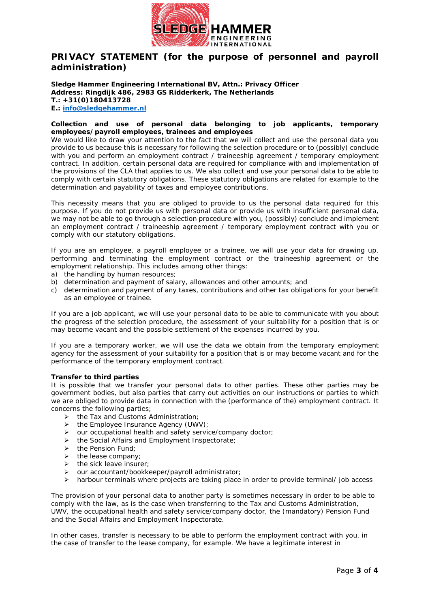

# **PRIVACY STATEMENT (for the purpose of personnel and payroll administration)**

**Sledge Hammer Engineering International BV, Attn.: Privacy Officer Address: Ringdijk 486, 2983 GS Ridderkerk, The Netherlands T.: +31(0)180413728 E.: [info@sledgehammer.nl](mailto:info@sledgehammer.nl)**

### **Collection and use of personal data belonging to job applicants, temporary employees/payroll employees, trainees and employees**

We would like to draw your attention to the fact that we will collect and use the personal data you provide to us because this is necessary for following the selection procedure or to (possibly) conclude with you and perform an employment contract / traineeship agreement / temporary employment contract. In addition, certain personal data are required for compliance with and implementation of the provisions of the CLA that applies to us. We also collect and use your personal data to be able to comply with certain statutory obligations. These statutory obligations are related for example to the determination and payability of taxes and employee contributions.

This necessity means that you are obliged to provide to us the personal data required for this purpose. If you do not provide us with personal data or provide us with insufficient personal data, we may not be able to go through a selection procedure with you, (possibly) conclude and implement an employment contract / traineeship agreement / temporary employment contract with you or comply with our statutory obligations.

If you are an employee, a payroll employee or a trainee, we will use your data for drawing up, performing and terminating the employment contract or the traineeship agreement or the employment relationship. This includes among other things:

- a) the handling by human resources;
- b) determination and payment of salary, allowances and other amounts; and
- c) determination and payment of any taxes, contributions and other tax obligations for your benefit as an employee or trainee.

If you are a job applicant, we will use your personal data to be able to communicate with you about the progress of the selection procedure, the assessment of your suitability for a position that is or may become vacant and the possible settlement of the expenses incurred by you.

If you are a temporary worker, we will use the data we obtain from the temporary employment agency for the assessment of your suitability for a position that is or may become vacant and for the performance of the temporary employment contract.

### **Transfer to third parties**

It is possible that we transfer your personal data to other parties. These other parties may be government bodies, but also parties that carry out activities on our instructions or parties to which we are obliged to provide data in connection with the (performance of the) employment contract. It concerns the following parties;

- $\triangleright$  the Tax and Customs Administration:
- $\triangleright$  the Employee Insurance Agency (UWV):
- $\triangleright$  our occupational health and safety service/company doctor;
- $\triangleright$  the Social Affairs and Employment Inspectorate;
- $\triangleright$  the Pension Fund;
- $\triangleright$  the lease company;
- $\triangleright$  the sick leave insurer;
- our accountant/bookkeeper/payroll administrator;
- $\triangleright$  harbour terminals where projects are taking place in order to provide terminal/ job access

The provision of your personal data to another party is sometimes necessary in order to be able to comply with the law, as is the case when transferring to the Tax and Customs Administration, UWV, the occupational health and safety service/company doctor, the (mandatory) Pension Fund and the Social Affairs and Employment Inspectorate.

In other cases, transfer is necessary to be able to perform the employment contract with you, in the case of transfer to the lease company, for example. We have a legitimate interest in